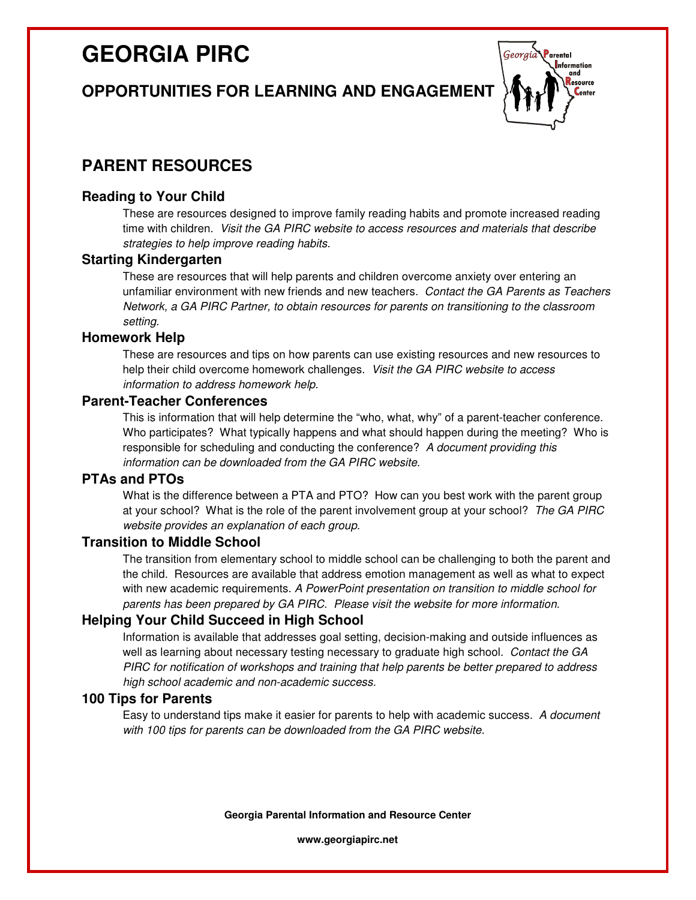# **GEORGIA PIRC**

# **OPPORTUNITIES FOR LEARNING AND ENGAGEMENT**



# **PARENT RESOURCES**

### **Reading to Your Child**

These are resources designed to improve family reading habits and promote increased reading time with children. Visit the GA PIRC website to access resources and materials that describe strategies to help improve reading habits.

#### **Starting Kindergarten**

These are resources that will help parents and children overcome anxiety over entering an unfamiliar environment with new friends and new teachers. Contact the GA Parents as Teachers Network, a GA PIRC Partner, to obtain resources for parents on transitioning to the classroom setting.

#### **Homework Help**

These are resources and tips on how parents can use existing resources and new resources to help their child overcome homework challenges. Visit the GA PIRC website to access information to address homework help.

#### **Parent-Teacher Conferences**

This is information that will help determine the "who, what, why" of a parent-teacher conference. Who participates? What typically happens and what should happen during the meeting? Who is responsible for scheduling and conducting the conference? A document providing this information can be downloaded from the GA PIRC website.

### **PTAs and PTOs**

What is the difference between a PTA and PTO? How can you best work with the parent group at your school? What is the role of the parent involvement group at your school? The GA PIRC website provides an explanation of each group.

#### **Transition to Middle School**

The transition from elementary school to middle school can be challenging to both the parent and the child. Resources are available that address emotion management as well as what to expect with new academic requirements. A PowerPoint presentation on transition to middle school for parents has been prepared by GA PIRC. Please visit the website for more information.

#### **Helping Your Child Succeed in High School**

Information is available that addresses goal setting, decision-making and outside influences as well as learning about necessary testing necessary to graduate high school. Contact the GA PIRC for notification of workshops and training that help parents be better prepared to address high school academic and non-academic success.

## **100 Tips for Parents**

Easy to understand tips make it easier for parents to help with academic success. A document with 100 tips for parents can be downloaded from the GA PIRC website.

**Georgia Parental Information and Resource Center** 

**www.georgiapirc.net**